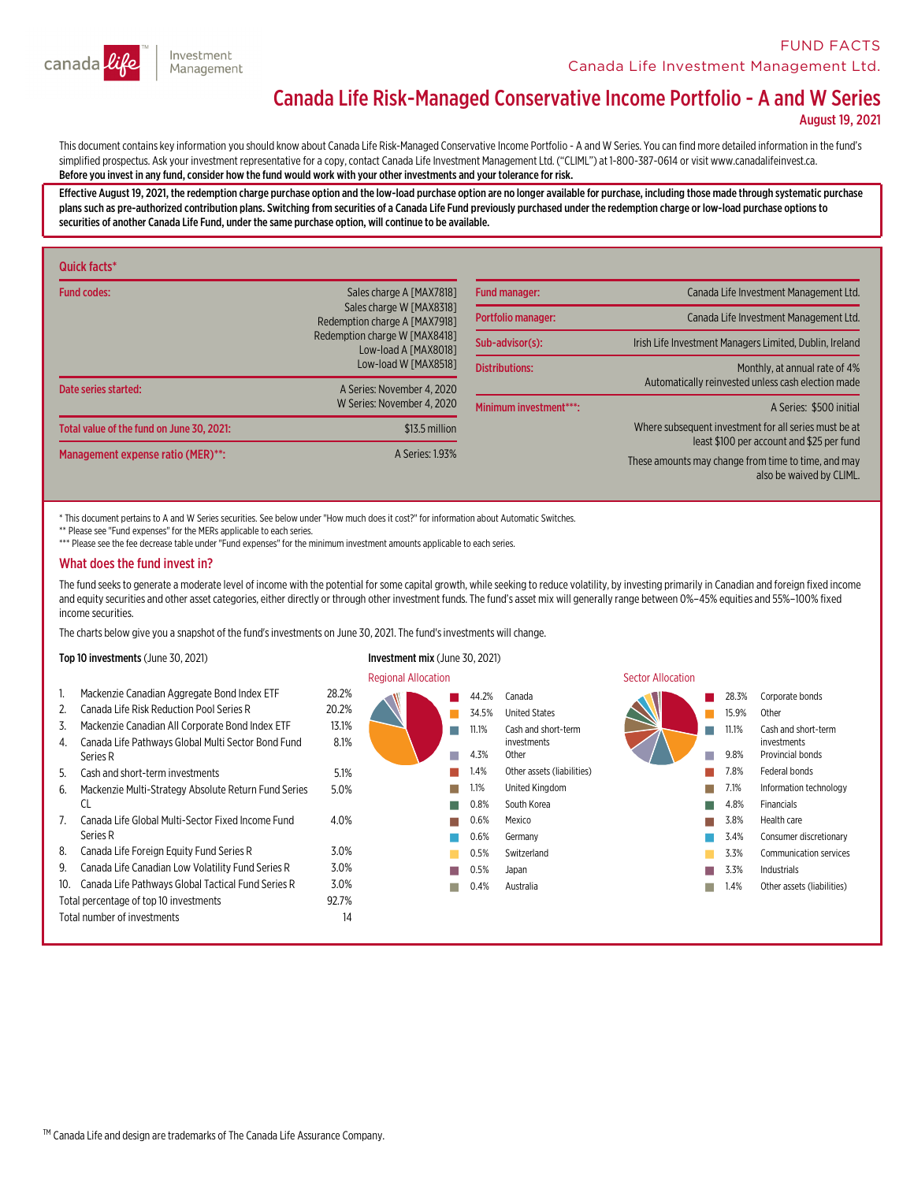

# Canada Life Risk-Managed Conservative Income Portfolio - A and W Series

August 19, 2021

This document contains key information you should know about Canada Life Risk-Managed Conservative Income Portfolio - A and W Series. You can find more detailed information in the fund's simplified prospectus. Ask your investment representative for a copy, contact Canada Life Investment Management Ltd. ("CLIML") at 1-800-387-0614 or visit www.canadalifeinvest.ca. Before you invest in any fund,consider how the fund would work with your other investments and your tolerance for risk.

Effective August 19, 2021, the redemption charge purchase option and the low-load purchase option are no longer available for purchase, including those made through systematic purchase<br>plans such as pre-authorized contribu securities of another Canada Life Fund, under the same purchase option, will continue to be available.

| Quick facts*                              |                                                                                       |                                                                                                    |                                                                                     |
|-------------------------------------------|---------------------------------------------------------------------------------------|----------------------------------------------------------------------------------------------------|-------------------------------------------------------------------------------------|
| <b>Fund codes:</b>                        | Sales charge A [MAX7818]<br>Sales charge W [MAX8318]<br>Redemption charge A [MAX7918] | <b>Fund manager:</b>                                                                               | Canada Life Investment Management Ltd.                                              |
|                                           |                                                                                       | Portfolio manager:                                                                                 | Canada Life Investment Management Ltd.                                              |
|                                           | Redemption charge W [MAX8418]<br>Low-load A [MAX8018]                                 | Sub-advisor(s):                                                                                    | Irish Life Investment Managers Limited, Dublin, Ireland                             |
| Date series started:                      | Low-load W [MAX8518]<br>A Series: November 4, 2020                                    | <b>Distributions:</b>                                                                              | Monthly, at annual rate of 4%<br>Automatically reinvested unless cash election made |
|                                           | W Series: November 4, 2020                                                            | Minimum investment***:                                                                             | A Series: \$500 initial                                                             |
| Total value of the fund on June 30, 2021: | \$13.5 million                                                                        | Where subsequent investment for all series must be at<br>least \$100 per account and \$25 per fund |                                                                                     |
| Management expense ratio (MER)**:         | A Series: 1.93%                                                                       |                                                                                                    | These amounts may change from time to time, and may<br>also be waived by CLIML.     |

\* This document pertains to A and W Series securities. See below under "How much does it cost?" for information about Automatic Switches.

\*\* Please see "Fund expenses" for the MERs applicable to each series.

\*\*\* Please see the fee decrease table under "Fund expenses" for the minimum investment amounts applicable to each series.

#### What does the fund invest in?

The fund seeks to generate a moderate level of income with the potential for some capital growth, while seeking to reduce volatility, by investing primarily in Canadian and foreign fixed income and equity securities and ot income securities.

The charts below give you a snapshot of the fund'sinvestments on June 30, 2021. The fund'sinvestments will change.

8.1%

5.0%

4.0%

#### Top 10 investments (June 30, 2021) Investment mix (June 30, 2021)

- 1. Mackenzie Canadian Aggregate Bond Index ETF 28.2% 2. Canada Life Risk Reduction Pool Series R 20.2%
- 3. Mackenzie Canadian All Corporate Bond Index ETF 13.1%
- 4. Canada Life Pathways Global Multi Sector Bond Fund Series <sup>R</sup>

5. Cash and short-terminvestments 5.1%

- 6. Mackenzie Multi-Strategy Absolute Return Fund Series<br>CL
- 7. Canada Life Global Multi-Sector Fixed Income Fund<br>Series R
- 8. Canada Life Foreign Equity Fund Series R 3.0%
- 9. Canada Life Canadian Low Volatility Fund Series R 3.0%
- 10. Canada Life Pathways Global Tactical Fund Series R 3.0%
- Total percentage of top 10 investments 92.7%
- Total number of investments 14

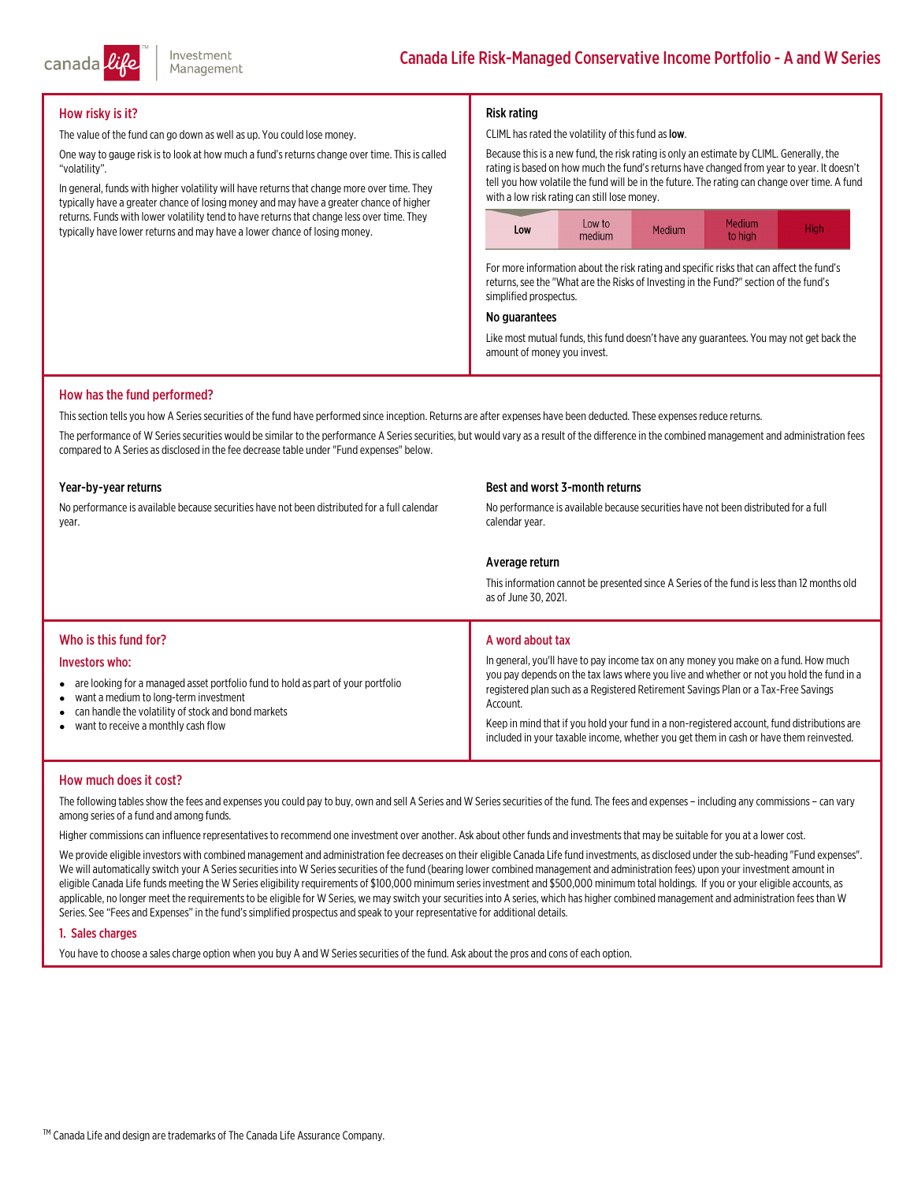## How risky is it?

The value of the fund can go down as well as up. You could lose money.

One way to gauge risk is to look at how much a fund's returns change over time. This is called "volatility".

In general, funds with higher volatility will have returns that change more over time. They typically have a greater chance of losing money and may have a greater chance of higher returns. Funds with lower volatility tend to have returns that change less over time. They typically have lower returns and may have a lower chance of losing money.

### Risk rating

CLIML has rated the volatility of this fund as low.

Because thisis a new fund, the risk rating is only an estimate by CLIML. Generally, the rating is based on how much the fund's returns have changed from year to year. It doesn't tell you how volatile the fund will be in the future. The rating can change over time. <sup>A</sup> fund with <sup>a</sup> low risk rating can still lose money.



For more information about the risk rating and specific risks that can affect the fund's returns, see the "What are the Risks of Investing in the Fund?" section of the fund's simplified prospectus.

#### No guarantees

Like most mutual funds, this fund doesn't have any guarantees. You may not get back the amount of money you invest.

#### How has the fund performed?

This section tells you how A Series securities of the fund have performed since inception. Returns are after expenses have been deducted. These expenses reduce returns.

The performance of W Series securities would be similar to the performance A Series securities, but would vary as a result of the difference in the combined management and administration fees compared to A Series as disclosed in the fee decrease table under "Fund expenses" below.

#### Year-by-year returns

No performance is available because securities have not been distributed for a full calendar<br>vear.

#### Best and worst 3-month returns

No performance is available because securities have not been distributed for a full calendar year.

#### Average return

This information cannot be presented since A Series of the fund is less than 12 months old as of June 30, 2021.

#### Who is this fund for?

#### Investors who:

- are looking for a managed asset portfolio fund to hold as part of your portfolio
- $\bullet$ want a medium to long-term investment
- $\bullet$ can handle the volatility of stock and bond markets
- $\bullet$ want to receive a monthly cash flow

#### A word about tax

In general, you'll have to pay income tax on any money you make on a fund. How much you pay depends on the tax laws where you live and whether or not you hold the fund in a registered plan such as a Registered Retirement Savings Plan or a Tax-Free Savings<br>Account.

Keep in mind that if you hold your fund in a non-registered account, fund distributions are included in your taxable income, whether you get them in cash or have them reinvested.

#### How much does it cost?

The following tables show the fees and expenses you could pay to buy, own and sell A Series and W Series securities of the fund. The fees and expenses – including any commissions – can vary<br>among series of a fund and among

Higher commissionscan influence representativesto recommend one investment over another. Ask about other funds and investmentsthatmay be suitable for you at a lower cost.

We provide eligible investors with combined management and administration fee decreases on their eligible Canada Life fund investments, as disclosed under the sub-heading "Fund expenses".<br>We will automatically switch your

#### 1. Sales charges

You have to choose a sales charge option when you buy A and W Series securities of the fund. Ask about the pros and cons of each option.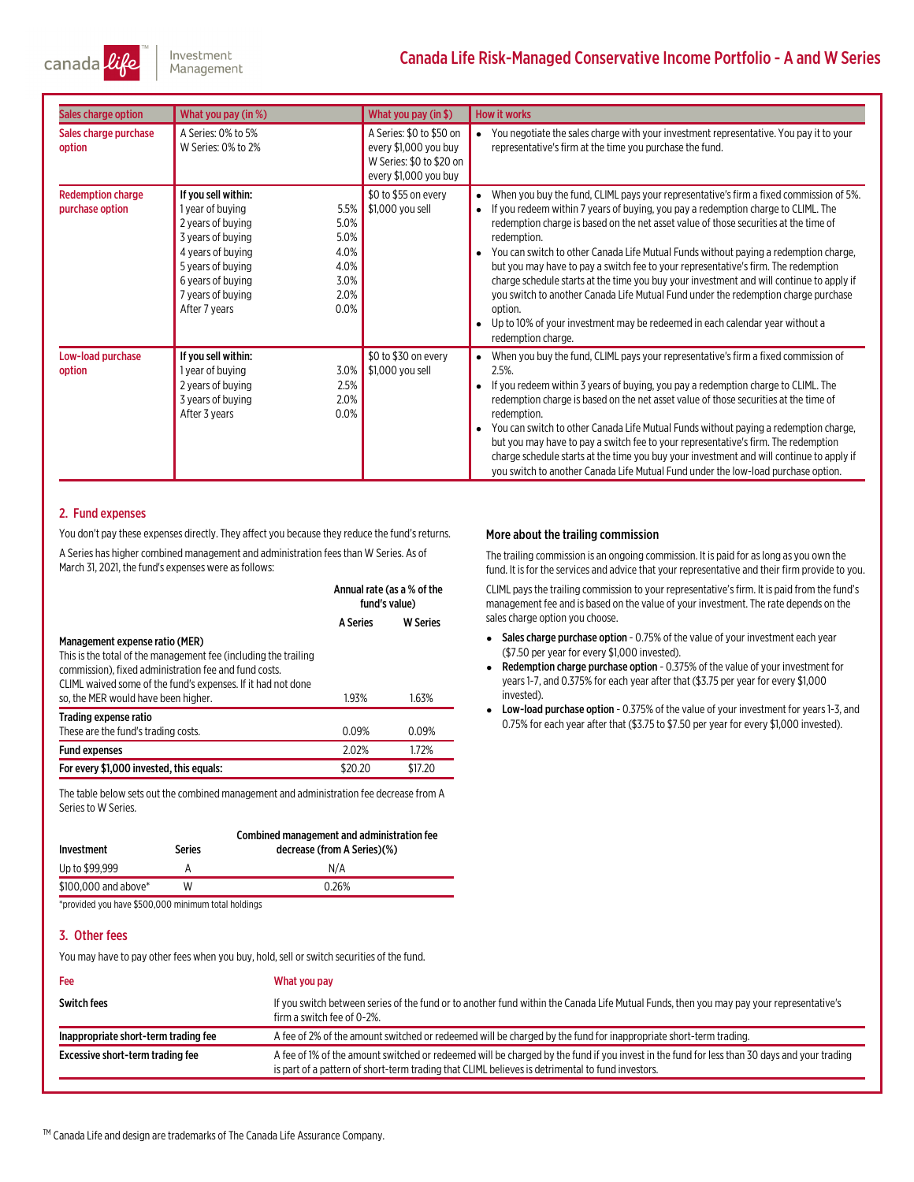Investment canada Management

# Canada Life Risk-Managed Conservative Income Portfolio - A and W Series

| Sales charge option                         | What you pay (in %)                                                                                                                                                                                                                                    | What you pay (in \$)                                                                                   | <b>How it works</b>                                                                                                                                                                                                                                                                                                                                                                                                                                                                                                                                                                                                                                                                                                                                                              |
|---------------------------------------------|--------------------------------------------------------------------------------------------------------------------------------------------------------------------------------------------------------------------------------------------------------|--------------------------------------------------------------------------------------------------------|----------------------------------------------------------------------------------------------------------------------------------------------------------------------------------------------------------------------------------------------------------------------------------------------------------------------------------------------------------------------------------------------------------------------------------------------------------------------------------------------------------------------------------------------------------------------------------------------------------------------------------------------------------------------------------------------------------------------------------------------------------------------------------|
| Sales charge purchase<br>option             | A Series: 0% to 5%<br>W Series: 0% to 2%                                                                                                                                                                                                               | A Series: \$0 to \$50 on<br>every \$1,000 you buy<br>W Series: \$0 to \$20 on<br>every \$1,000 you buy | You negotiate the sales charge with your investment representative. You pay it to your<br>representative's firm at the time you purchase the fund.                                                                                                                                                                                                                                                                                                                                                                                                                                                                                                                                                                                                                               |
| <b>Redemption charge</b><br>purchase option | If you sell within:<br>5.5%<br>1 year of buying<br>5.0%<br>2 years of buying<br>5.0%<br>3 years of buying<br>4.0%<br>4 years of buying<br>4.0%<br>5 years of buying<br>6 years of buying<br>3.0%<br>2.0%<br>7 years of buying<br>0.0%<br>After 7 years | \$0 to \$55 on every<br>\$1,000 you sell                                                               | When you buy the fund, CLIML pays your representative's firm a fixed commission of 5%.<br>If you redeem within 7 years of buying, you pay a redemption charge to CLIML. The<br>$\bullet$<br>redemption charge is based on the net asset value of those securities at the time of<br>redemption.<br>You can switch to other Canada Life Mutual Funds without paying a redemption charge,<br>but you may have to pay a switch fee to your representative's firm. The redemption<br>charge schedule starts at the time you buy your investment and will continue to apply if<br>you switch to another Canada Life Mutual Fund under the redemption charge purchase<br>option.<br>Up to 10% of your investment may be redeemed in each calendar year without a<br>redemption charge. |
| Low-load purchase<br>option                 | If you sell within:<br>1 year of buying<br>3.0%<br>2.5%<br>2 years of buying<br>2.0%<br>3 years of buying<br>0.0%<br>After 3 years                                                                                                                     | \$0 to \$30 on every<br>\$1,000 you sell                                                               | When you buy the fund, CLIML pays your representative's firm a fixed commission of<br>2.5%.<br>If you redeem within 3 years of buying, you pay a redemption charge to CLIML. The<br>redemption charge is based on the net asset value of those securities at the time of<br>redemption.<br>You can switch to other Canada Life Mutual Funds without paying a redemption charge,<br>but you may have to pay a switch fee to your representative's firm. The redemption<br>charge schedule starts at the time you buy your investment and will continue to apply if<br>you switch to another Canada Life Mutual Fund under the low-load purchase option.                                                                                                                           |

#### 2. Fund expenses

You don't pay these expenses directly. They affect you because they reduce the fund's returns. A Series has higher combined management and administration fees than W Series. As of March 31, 2021, the fund's expenses were as follows:

|                                                                                                                                                                                                                                                                   | Annual rate (as a % of the<br>fund's value) |                 |
|-------------------------------------------------------------------------------------------------------------------------------------------------------------------------------------------------------------------------------------------------------------------|---------------------------------------------|-----------------|
|                                                                                                                                                                                                                                                                   | <b>A Series</b>                             | <b>W</b> Series |
| Management expense ratio (MER)<br>This is the total of the management fee (including the trailing<br>commission), fixed administration fee and fund costs.<br>CLIML waived some of the fund's expenses. If it had not done<br>so, the MER would have been higher. | 1.93%                                       | 1.63%           |
| Trading expense ratio<br>These are the fund's trading costs.                                                                                                                                                                                                      | 0.09%                                       | 0.09%           |
| <b>Fund expenses</b>                                                                                                                                                                                                                                              | 2.02%                                       | 1.72%           |
| For every \$1,000 invested, this equals:                                                                                                                                                                                                                          | \$20.20                                     | \$17.20         |

The table below sets out the combined management and administration fee decrease from A<br>Series to W Series.

| Investment           | Series | Combined management and administration fee<br>decrease (from A Series)(%) |
|----------------------|--------|---------------------------------------------------------------------------|
| Up to \$99.999       |        | N/A                                                                       |
| \$100,000 and above* | W      | 0.26%                                                                     |
|                      |        |                                                                           |

\*provided you have \$500,000 minimum total holdings

#### 3. Other fees

You may have to pay other fees when you buy, hold, sell or switch securities of the fund.

# Fee What you pay Switch fees many our representative's If you switch between series of the fund or to another fund within the Canada Life Mutual Funds, then you may pay your representative's firma switch fee of 0-2%. Inappropriate short-term trading fee <br>
A fee of 2% of the amount switched or redeemed will be charged by the fund for inappropriate short-term trading. Excessive short-term trading fee <br>A fee of 1% of the amount switched or redeemed will be charged by the fund if you invest in the fund for less than 30 days and your trading is part of a pattern of short-term trading that CLIML believes is detrimental to fund investors.

#### More about the trailing commission

The trailing commission is an ongoing commission. It is paid for aslong as you own the fund. It is for the services and advice that your representative and their firm provide to you.

CLIML paysthe trailing commission to your representative'sfirm. It is paid fromthe fund's management fee and is based on the value of your investment. The rate depends on the sales charge option you choose.

- $\bullet$ Sales charge purchase option - 0.75% of the value of your investment each year
- (\$7.50 per year for every \$1,000 invested).<br>**Redemption charge purchase option** 0.375% of the value of your investment for e years 1-7, and 0.375% for each year after that (\$3.75 per year for every \$1,000 invested).
- Low-load purchase option 0.375% of the value of your investment for years 1-3, and 0.75% for each year after that (\$3.75 to \$7.50 per year for every \$1,000 invested).